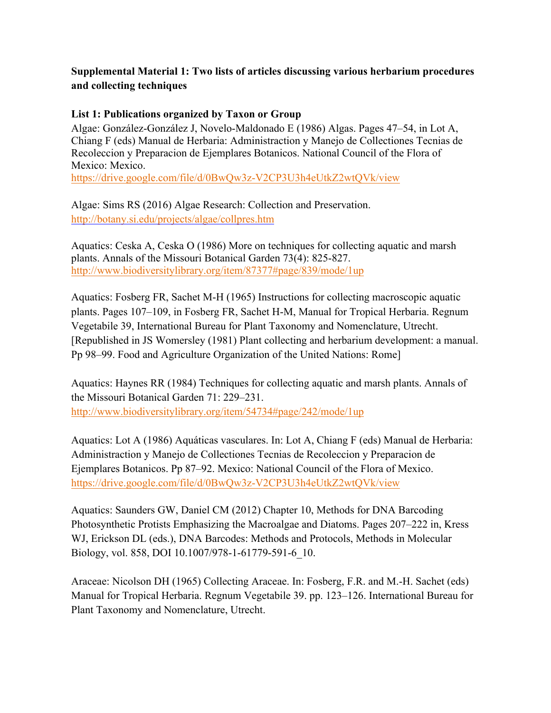## **Supplemental Material 1: Two lists of articles discussing various herbarium procedures and collecting techniques**

## **List 1: Publications organized by Taxon or Group**

Algae: González-González J, Novelo-Maldonado E (1986) Algas. Pages 47–54, in Lot A, Chiang F (eds) Manual de Herbaria: Administraction y Manejo de Collectiones Tecnias de Recoleccion y Preparacion de Ejemplares Botanicos. National Council of the Flora of Mexico: Mexico.

https://drive.google.com/file/d/0BwQw3z-V2CP3U3h4eUtkZ2wtQVk/view

Algae: Sims RS (2016) Algae Research: Collection and Preservation. http://botany.si.edu/projects/algae/collpres.htm

Aquatics: Ceska A, Ceska O (1986) More on techniques for collecting aquatic and marsh plants. Annals of the Missouri Botanical Garden 73(4): 825-827. http://www.biodiversitylibrary.org/item/87377#page/839/mode/1up

Aquatics: Fosberg FR, Sachet M-H (1965) Instructions for collecting macroscopic aquatic plants. Pages 107–109, in Fosberg FR, Sachet H-M, Manual for Tropical Herbaria. Regnum Vegetabile 39, International Bureau for Plant Taxonomy and Nomenclature, Utrecht. [Republished in JS Womersley (1981) Plant collecting and herbarium development: a manual. Pp 98–99. Food and Agriculture Organization of the United Nations: Rome]

Aquatics: Haynes RR (1984) Techniques for collecting aquatic and marsh plants. Annals of the Missouri Botanical Garden 71: 229–231. http://www.biodiversitylibrary.org/item/54734#page/242/mode/1up

Aquatics: Lot A (1986) Aquáticas vasculares. In: Lot A, Chiang F (eds) Manual de Herbaria: Administraction y Manejo de Collectiones Tecnias de Recoleccion y Preparacion de Ejemplares Botanicos. Pp 87–92. Mexico: National Council of the Flora of Mexico. https://drive.google.com/file/d/0BwQw3z-V2CP3U3h4eUtkZ2wtQVk/view

Aquatics: Saunders GW, Daniel CM (2012) Chapter 10, Methods for DNA Barcoding Photosynthetic Protists Emphasizing the Macroalgae and Diatoms. Pages 207–222 in, Kress WJ, Erickson DL (eds.), DNA Barcodes: Methods and Protocols, Methods in Molecular Biology, vol. 858, DOI 10.1007/978-1-61779-591-6\_10.

Araceae: Nicolson DH (1965) Collecting Araceae. In: Fosberg, F.R. and M.-H. Sachet (eds) Manual for Tropical Herbaria. Regnum Vegetabile 39. pp. 123–126. International Bureau for Plant Taxonomy and Nomenclature, Utrecht.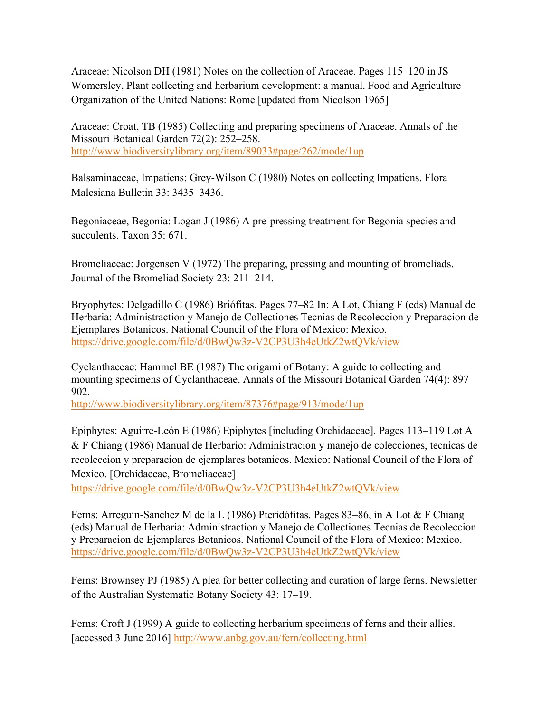Araceae: Nicolson DH (1981) Notes on the collection of Araceae. Pages 115–120 in JS Womersley, Plant collecting and herbarium development: a manual. Food and Agriculture Organization of the United Nations: Rome [updated from Nicolson 1965]

Araceae: Croat, TB (1985) Collecting and preparing specimens of Araceae. Annals of the Missouri Botanical Garden 72(2): 252–258. http://www.biodiversitylibrary.org/item/89033#page/262/mode/1up

Balsaminaceae, Impatiens: Grey-Wilson C (1980) Notes on collecting Impatiens. Flora Malesiana Bulletin 33: 3435–3436.

Begoniaceae, Begonia: Logan J (1986) A pre-pressing treatment for Begonia species and succulents. Taxon 35: 671.

Bromeliaceae: Jorgensen V (1972) The preparing, pressing and mounting of bromeliads. Journal of the Bromeliad Society 23: 211–214.

Bryophytes: Delgadillo C (1986) Briófitas. Pages 77–82 In: A Lot, Chiang F (eds) Manual de Herbaria: Administraction y Manejo de Collectiones Tecnias de Recoleccion y Preparacion de Ejemplares Botanicos. National Council of the Flora of Mexico: Mexico. https://drive.google.com/file/d/0BwQw3z-V2CP3U3h4eUtkZ2wtQVk/view

Cyclanthaceae: Hammel BE (1987) The origami of Botany: A guide to collecting and mounting specimens of Cyclanthaceae. Annals of the Missouri Botanical Garden 74(4): 897– 902.

http://www.biodiversitylibrary.org/item/87376#page/913/mode/1up

Epiphytes: Aguirre-León E (1986) Epiphytes [including Orchidaceae]. Pages 113–119 Lot A & F Chiang (1986) Manual de Herbario: Administracion y manejo de colecciones, tecnicas de recoleccion y preparacion de ejemplares botanicos. Mexico: National Council of the Flora of Mexico. [Orchidaceae, Bromeliaceae]

https://drive.google.com/file/d/0BwQw3z-V2CP3U3h4eUtkZ2wtQVk/view

Ferns: Arreguín-Sánchez M de la L (1986) Pteridófitas. Pages 83–86, in A Lot & F Chiang (eds) Manual de Herbaria: Administraction y Manejo de Collectiones Tecnias de Recoleccion y Preparacion de Ejemplares Botanicos. National Council of the Flora of Mexico: Mexico. https://drive.google.com/file/d/0BwQw3z-V2CP3U3h4eUtkZ2wtQVk/view

Ferns: Brownsey PJ (1985) A plea for better collecting and curation of large ferns. Newsletter of the Australian Systematic Botany Society 43: 17–19.

Ferns: Croft J (1999) A guide to collecting herbarium specimens of ferns and their allies. [accessed 3 June 2016] http://www.anbg.gov.au/fern/collecting.html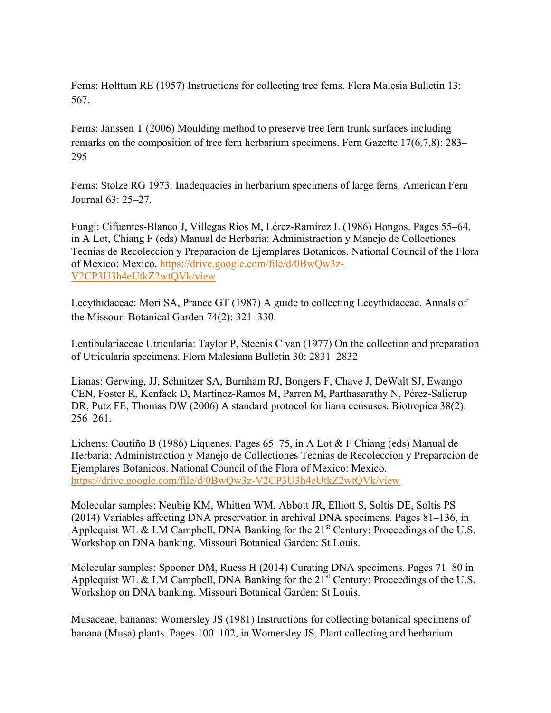Ferns: Holttum RE (1957) Instructions for collecting tree ferns. Flora Malesia Bulletin 13: 567.

Ferns: Janssen T (2006) Moulding method to preserve tree fern trunk surfaces including remarks on the composition of tree fern herbarium specimens. Fern Gazette 17(6,7,8): 283– 295

Ferns: Stolze RG 1973. Inadequacies in herbarium specimens of large ferns. American Fern Journal 63: 25–27.

Fungi: Cifuentes-Blanco J, Villegas Ríos M, Lérez-Ramírez L (1986) Hongos. Pages 55–64, in A Lot, Chiang F (eds) Manual de Herbaria: Administraction y Manejo de Collectiones Tecnias de Recoleccion y Preparacion de Ejemplares Botanicos. National Council of the Flora of Mexico: Mexico. https://drive.google.com/file/d/0BwQw3z-V2CP3U3h4eUtkZ2wtQVk/view

Lecythidaceae: Mori SA, Prance GT (1987) A guide to collecting Lecythidaceae. Annals of the Missouri Botanical Garden 74(2): 321–330.

Lentibulariaceae Utricularia: Taylor P, Steenis C van (1977) On the collection and preparation of Utricularia specimens. Flora Malesiana Bulletin 30: 2831–2832

Lianas: Gerwing, JJ, Schnitzer SA, Burnham RJ, Bongers F, Chave J, DeWalt SJ, Ewango CEN, Foster R, Kenfack D, Martínez-Ramos M, Parren M, Parthasarathy N, Pérez-Salicrup DR, Putz FE, Thomas DW (2006) A standard protocol for liana censuses. Biotropica 38(2): 256–261.

Lichens: Coutiño B (1986) Líquenes. Pages 65–75, in A Lot & F Chiang (eds) Manual de Herbaria: Administraction y Manejo de Collectiones Tecnias de Recoleccion y Preparacion de Ejemplares Botanicos. National Council of the Flora of Mexico: Mexico. https://drive.google.com/file/d/0BwQw3z-V2CP3U3h4eUtkZ2wtQVk/view

Molecular samples: Neubig KM, Whitten WM, Abbott JR, Elliott S, Soltis DE, Soltis PS (2014) Variables affecting DNA preservation in archival DNA specimens. Pages 81–136, in Applequist WL & LM Campbell, DNA Banking for the  $21<sup>st</sup>$  Century: Proceedings of the U.S. Workshop on DNA banking. Missouri Botanical Garden: St Louis.

Molecular samples: Spooner DM, Ruess H (2014) Curating DNA specimens. Pages 71–80 in Applequist WL & LM Campbell, DNA Banking for the  $21<sup>st</sup>$  Century: Proceedings of the U.S. Workshop on DNA banking. Missouri Botanical Garden: St Louis.

Musaceae, bananas: Womersley JS (1981) Instructions for collecting botanical specimens of banana (Musa) plants. Pages 100–102, in Womersley JS, Plant collecting and herbarium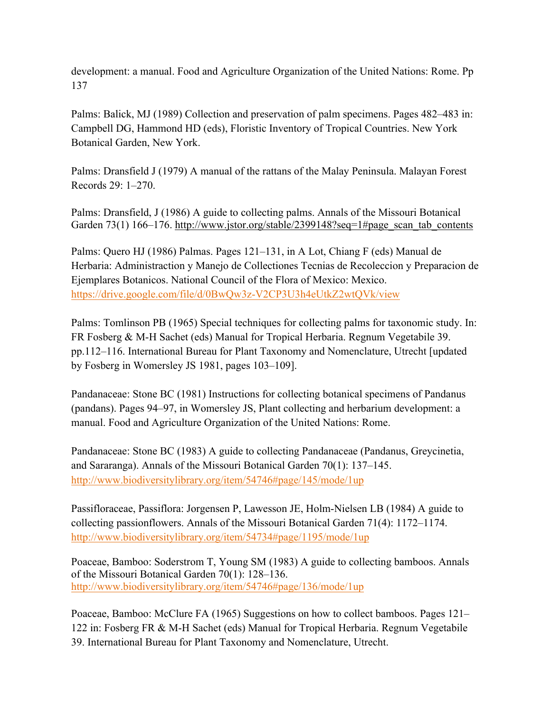development: a manual. Food and Agriculture Organization of the United Nations: Rome. Pp 137

Palms: Balick, MJ (1989) Collection and preservation of palm specimens. Pages 482–483 in: Campbell DG, Hammond HD (eds), Floristic Inventory of Tropical Countries. New York Botanical Garden, New York.

Palms: Dransfield J (1979) A manual of the rattans of the Malay Peninsula. Malayan Forest Records 29: 1–270.

Palms: Dransfield, J (1986) A guide to collecting palms. Annals of the Missouri Botanical Garden 73(1) 166–176. http://www.jstor.org/stable/2399148?seq=1#page\_scan\_tab\_contents

Palms: Quero HJ (1986) Palmas. Pages 121–131, in A Lot, Chiang F (eds) Manual de Herbaria: Administraction y Manejo de Collectiones Tecnias de Recoleccion y Preparacion de Ejemplares Botanicos. National Council of the Flora of Mexico: Mexico. https://drive.google.com/file/d/0BwQw3z-V2CP3U3h4eUtkZ2wtQVk/view

Palms: Tomlinson PB (1965) Special techniques for collecting palms for taxonomic study. In: FR Fosberg & M-H Sachet (eds) Manual for Tropical Herbaria. Regnum Vegetabile 39. pp.112–116. International Bureau for Plant Taxonomy and Nomenclature, Utrecht [updated by Fosberg in Womersley JS 1981, pages 103–109].

Pandanaceae: Stone BC (1981) Instructions for collecting botanical specimens of Pandanus (pandans). Pages 94–97, in Womersley JS, Plant collecting and herbarium development: a manual. Food and Agriculture Organization of the United Nations: Rome.

Pandanaceae: Stone BC (1983) A guide to collecting Pandanaceae (Pandanus, Greycinetia, and Sararanga). Annals of the Missouri Botanical Garden 70(1): 137–145. http://www.biodiversitylibrary.org/item/54746#page/145/mode/1up

Passifloraceae, Passiflora: Jorgensen P, Lawesson JE, Holm-Nielsen LB (1984) A guide to collecting passionflowers. Annals of the Missouri Botanical Garden 71(4): 1172–1174. http://www.biodiversitylibrary.org/item/54734#page/1195/mode/1up

Poaceae, Bamboo: Soderstrom T, Young SM (1983) A guide to collecting bamboos. Annals of the Missouri Botanical Garden 70(1): 128–136. http://www.biodiversitylibrary.org/item/54746#page/136/mode/1up

Poaceae, Bamboo: McClure FA (1965) Suggestions on how to collect bamboos. Pages 121– 122 in: Fosberg FR & M-H Sachet (eds) Manual for Tropical Herbaria. Regnum Vegetabile 39. International Bureau for Plant Taxonomy and Nomenclature, Utrecht.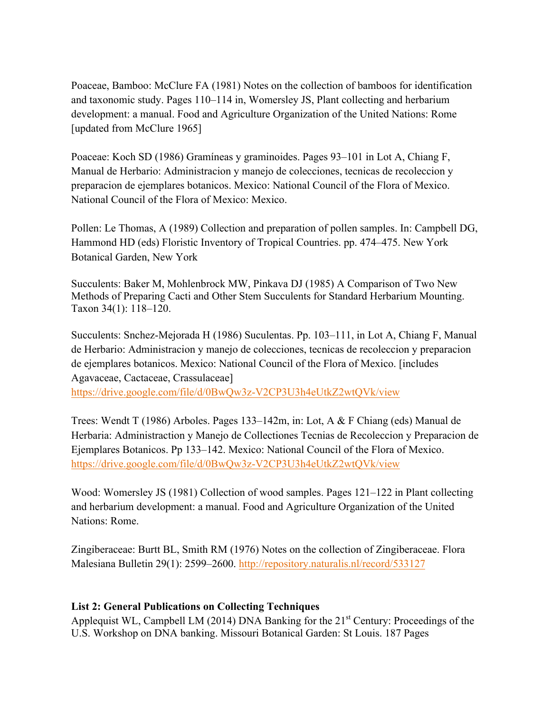Poaceae, Bamboo: McClure FA (1981) Notes on the collection of bamboos for identification and taxonomic study. Pages 110–114 in, Womersley JS, Plant collecting and herbarium development: a manual. Food and Agriculture Organization of the United Nations: Rome [updated from McClure 1965]

Poaceae: Koch SD (1986) Gramíneas y graminoides. Pages 93–101 in Lot A, Chiang F, Manual de Herbario: Administracion y manejo de colecciones, tecnicas de recoleccion y preparacion de ejemplares botanicos. Mexico: National Council of the Flora of Mexico. National Council of the Flora of Mexico: Mexico.

Pollen: Le Thomas, A (1989) Collection and preparation of pollen samples. In: Campbell DG, Hammond HD (eds) Floristic Inventory of Tropical Countries. pp. 474–475. New York Botanical Garden, New York

Succulents: Baker M, Mohlenbrock MW, Pinkava DJ (1985) A Comparison of Two New Methods of Preparing Cacti and Other Stem Succulents for Standard Herbarium Mounting. Taxon 34(1): 118–120.

Succulents: Snchez-Mejorada H (1986) Suculentas. Pp. 103–111, in Lot A, Chiang F, Manual de Herbario: Administracion y manejo de colecciones, tecnicas de recoleccion y preparacion de ejemplares botanicos. Mexico: National Council of the Flora of Mexico. [includes Agavaceae, Cactaceae, Crassulaceae]

https://drive.google.com/file/d/0BwQw3z-V2CP3U3h4eUtkZ2wtQVk/view

Trees: Wendt T (1986) Arboles. Pages 133–142m, in: Lot, A & F Chiang (eds) Manual de Herbaria: Administraction y Manejo de Collectiones Tecnias de Recoleccion y Preparacion de Ejemplares Botanicos. Pp 133–142. Mexico: National Council of the Flora of Mexico. https://drive.google.com/file/d/0BwQw3z-V2CP3U3h4eUtkZ2wtQVk/view

Wood: Womersley JS (1981) Collection of wood samples. Pages 121–122 in Plant collecting and herbarium development: a manual. Food and Agriculture Organization of the United Nations: Rome.

Zingiberaceae: Burtt BL, Smith RM (1976) Notes on the collection of Zingiberaceae. Flora Malesiana Bulletin 29(1): 2599–2600. http://repository.naturalis.nl/record/533127

## **List 2: General Publications on Collecting Techniques**

Applequist WL, Campbell LM (2014) DNA Banking for the  $21<sup>st</sup>$  Century: Proceedings of the U.S. Workshop on DNA banking. Missouri Botanical Garden: St Louis. 187 Pages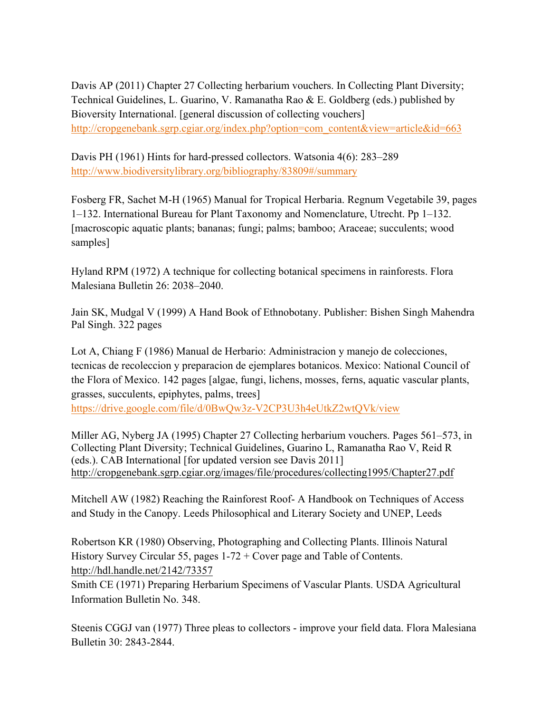Davis AP (2011) Chapter 27 Collecting herbarium vouchers. In Collecting Plant Diversity; Technical Guidelines, L. Guarino, V. Ramanatha Rao & E. Goldberg (eds.) published by Bioversity International. [general discussion of collecting vouchers] http://cropgenebank.sgrp.cgiar.org/index.php?option=com\_content&view=article&id=663

Davis PH (1961) Hints for hard-pressed collectors. Watsonia 4(6): 283–289 http://www.biodiversitylibrary.org/bibliography/83809#/summary

Fosberg FR, Sachet M-H (1965) Manual for Tropical Herbaria. Regnum Vegetabile 39, pages 1–132. International Bureau for Plant Taxonomy and Nomenclature, Utrecht. Pp 1–132. [macroscopic aquatic plants; bananas; fungi; palms; bamboo; Araceae; succulents; wood samples]

Hyland RPM (1972) A technique for collecting botanical specimens in rainforests. Flora Malesiana Bulletin 26: 2038–2040.

Jain SK, Mudgal V (1999) A Hand Book of Ethnobotany. Publisher: Bishen Singh Mahendra Pal Singh. 322 pages

Lot A, Chiang F (1986) Manual de Herbario: Administracion y manejo de colecciones, tecnicas de recoleccion y preparacion de ejemplares botanicos. Mexico: National Council of the Flora of Mexico. 142 pages [algae, fungi, lichens, mosses, ferns, aquatic vascular plants, grasses, succulents, epiphytes, palms, trees]

https://drive.google.com/file/d/0BwQw3z-V2CP3U3h4eUtkZ2wtQVk/view

Miller AG, Nyberg JA (1995) Chapter 27 Collecting herbarium vouchers. Pages 561–573, in Collecting Plant Diversity; Technical Guidelines, Guarino L, Ramanatha Rao V, Reid R (eds.). CAB International [for updated version see Davis 2011] http://cropgenebank.sgrp.cgiar.org/images/file/procedures/collecting1995/Chapter27.pdf

Mitchell AW (1982) Reaching the Rainforest Roof- A Handbook on Techniques of Access and Study in the Canopy. Leeds Philosophical and Literary Society and UNEP, Leeds

Robertson KR (1980) Observing, Photographing and Collecting Plants. Illinois Natural History Survey Circular 55, pages 1-72 + Cover page and Table of Contents. http://hdl.handle.net/2142/73357

Smith CE (1971) Preparing Herbarium Specimens of Vascular Plants. USDA Agricultural Information Bulletin No. 348.

Steenis CGGJ van (1977) Three pleas to collectors - improve your field data. Flora Malesiana Bulletin 30: 2843-2844.